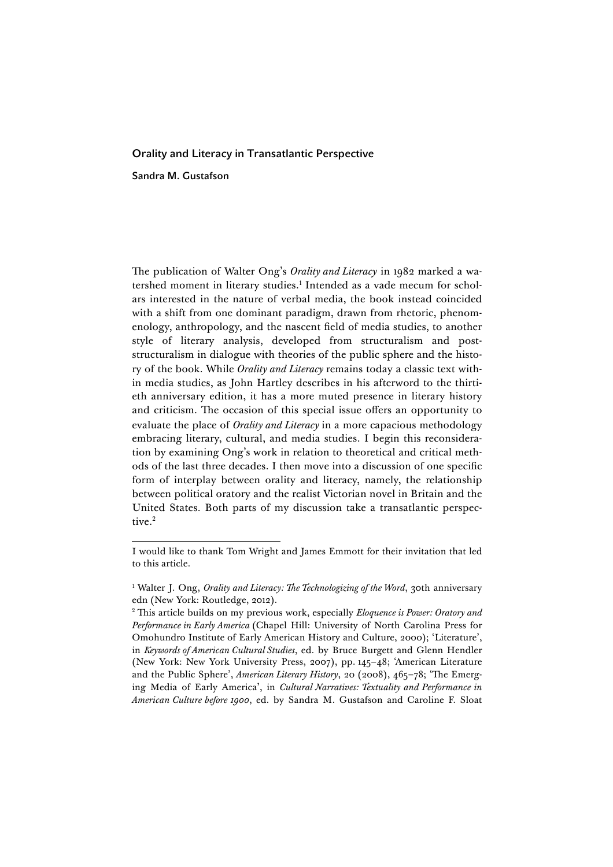## Orality and Literacy in Transatlantic Perspective

Sandra M. Gustafson

The publication of Walter Ong's *Orality and Literacy* in 1982 marked a watershed moment in literary studies.1 Intended as a vade mecum for scholars interested in the nature of verbal media, the book instead coincided with a shift from one dominant paradigm, drawn from rhetoric, phenomenology, anthropology, and the nascent field of media studies, to another style of literary analysis, developed from structuralism and poststructuralism in dialogue with theories of the public sphere and the history of the book. While *Orality and Literacy* remains today a classic text within media studies, as John Hartley describes in his afterword to the thirtieth anniversary edition, it has a more muted presence in literary history and criticism. The occasion of this special issue offers an opportunity to evaluate the place of *Orality and Literacy* in a more capacious methodology embracing literary, cultural, and media studies. I begin this reconsideration by examining Ong's work in relation to theoretical and critical methods of the last three decades. I then move into a discussion of one specific form of interplay between orality and literacy, namely, the relationship between political oratory and the realist Victorian novel in Britain and the United States. Both parts of my discussion take a transatlantic perspective.<sup>2</sup>

 I would like to thank Tom Wright and James Emmott for their invitation that led to this article.

<sup>&</sup>lt;sup>1</sup> Walter J. Ong, *Orality and Literacy: The Technologizing of the Word*, 30th anniversary edn (New York: Routledge, 2012).

<sup>2</sup> This article builds on my previous work, especially *Eloquence is Power: Oratory and Performance in Early America* (Chapel Hill: University of North Carolina Press for Omohundro Institute of Early American History and Culture, 2000); 'Literature', in *Keywords of American Cultural Studies*, ed. by Bruce Burgett and Glenn Hendler (New York: New York University Press, 2007), pp. 145–48; 'American Literature and the Public Sphere', *American Literary History*, 20 (2008), 465–78; 'The Emerging Media of Early America', in *Cultural Narratives: Textuality and Performance in American Culture before 1900*, ed. by Sandra M. Gustafson and Caroline F. Sloat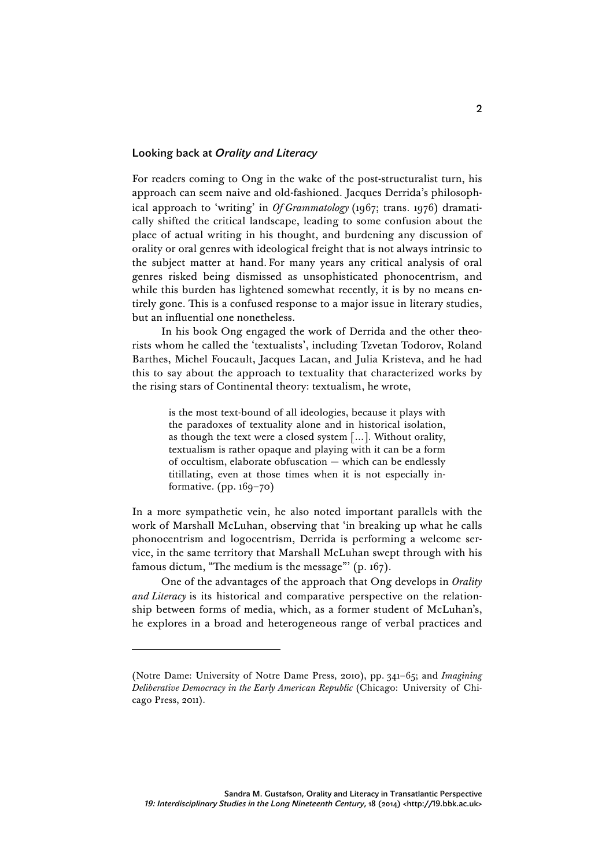## Looking back at *Orality and Literacy*

For readers coming to Ong in the wake of the post-structuralist turn, his approach can seem naive and old-fashioned. Jacques Derrida's philosophical approach to 'writing' in *Of Grammatology* (1967; trans. 1976) dramatically shifted the critical landscape, leading to some confusion about the place of actual writing in his thought, and burdening any discussion of orality or oral genres with ideological freight that is not always intrinsic to the subject matter at hand. For many years any critical analysis of oral genres risked being dismissed as unsophisticated phonocentrism, and while this burden has lightened somewhat recently, it is by no means entirely gone. This is a confused response to a major issue in literary studies, but an influential one nonetheless.

In his book Ong engaged the work of Derrida and the other theorists whom he called the 'textualists', including Tzvetan Todorov, Roland Barthes, Michel Foucault, Jacques Lacan, and Julia Kristeva, and he had this to say about the approach to textuality that characterized works by the rising stars of Continental theory: textualism, he wrote,

> is the most text-bound of all ideologies, because it plays with the paradoxes of textuality alone and in historical isolation, as though the text were a closed system […]. Without orality, textualism is rather opaque and playing with it can be a form of occultism, elaborate obfuscation — which can be endlessly titillating, even at those times when it is not especially informative. (pp. 169–70)

In a more sympathetic vein, he also noted important parallels with the work of Marshall McLuhan, observing that 'in breaking up what he calls phonocentrism and logocentrism, Derrida is performing a welcome service, in the same territory that Marshall McLuhan swept through with his famous dictum, "The medium is the message"' (p. 167).

One of the advantages of the approach that Ong develops in *Orality and Literacy* is its historical and comparative perspective on the relationship between forms of media, which, as a former student of McLuhan's, he explores in a broad and heterogeneous range of verbal practices and

<sup>(</sup>Notre Dame: University of Notre Dame Press, 2010), pp. 341–65; and *Imagining Deliberative Democracy in the Early American Republic* (Chicago: University of Chicago Press, 2011).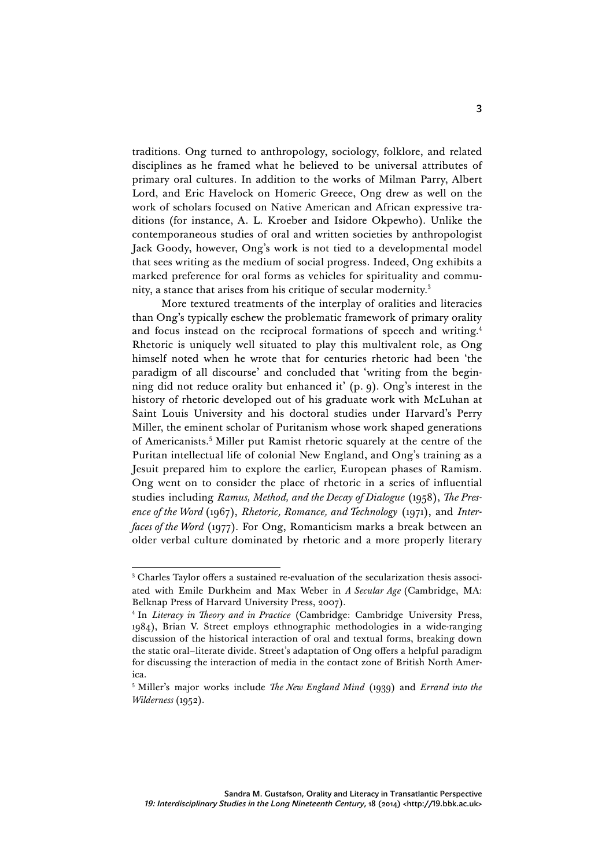traditions. Ong turned to anthropology, sociology, folklore, and related disciplines as he framed what he believed to be universal attributes of primary oral cultures. In addition to the works of Milman Parry, Albert Lord, and Eric Havelock on Homeric Greece, Ong drew as well on the work of scholars focused on Native American and African expressive traditions (for instance, A. L. Kroeber and Isidore Okpewho). Unlike the contemporaneous studies of oral and written societies by anthropologist Jack Goody, however, Ong's work is not tied to a developmental model that sees writing as the medium of social progress. Indeed, Ong exhibits a marked preference for oral forms as vehicles for spirituality and community, a stance that arises from his critique of secular modernity.3

More textured treatments of the interplay of oralities and literacies than Ong's typically eschew the problematic framework of primary orality and focus instead on the reciprocal formations of speech and writing.<sup>4</sup> Rhetoric is uniquely well situated to play this multivalent role, as Ong himself noted when he wrote that for centuries rhetoric had been 'the paradigm of all discourse' and concluded that 'writing from the beginning did not reduce orality but enhanced it' (p. 9). Ong's interest in the history of rhetoric developed out of his graduate work with McLuhan at Saint Louis University and his doctoral studies under Harvard's Perry Miller, the eminent scholar of Puritanism whose work shaped generations of Americanists.5 Miller put Ramist rhetoric squarely at the centre of the Puritan intellectual life of colonial New England, and Ong's training as a Jesuit prepared him to explore the earlier, European phases of Ramism. Ong went on to consider the place of rhetoric in a series of influential studies including *Ramus, Method, and the Decay of Dialogue* (1958), *The Presence of the Word* (1967), *Rhetoric, Romance, and Technology* (1971), and *Interfaces of the Word* (1977). For Ong, Romanticism marks a break between an older verbal culture dominated by rhetoric and a more properly literary

 <sup>3</sup> Charles Taylor offers a sustained re-evaluation of the secularization thesis associated with Emile Durkheim and Max Weber in *A Secular Age* (Cambridge, MA: Belknap Press of Harvard University Press, 2007).

<sup>4</sup> In *Literacy in Theory and in Practice* (Cambridge: Cambridge University Press, 1984), Brian V. Street employs ethnographic methodologies in a wide-ranging discussion of the historical interaction of oral and textual forms, breaking down the static oral–literate divide. Street's adaptation of Ong offers a helpful paradigm for discussing the interaction of media in the contact zone of British North America.

<sup>5</sup> Miller's major works include *The New England Mind* (1939) and *Errand into the Wilderness* (1952).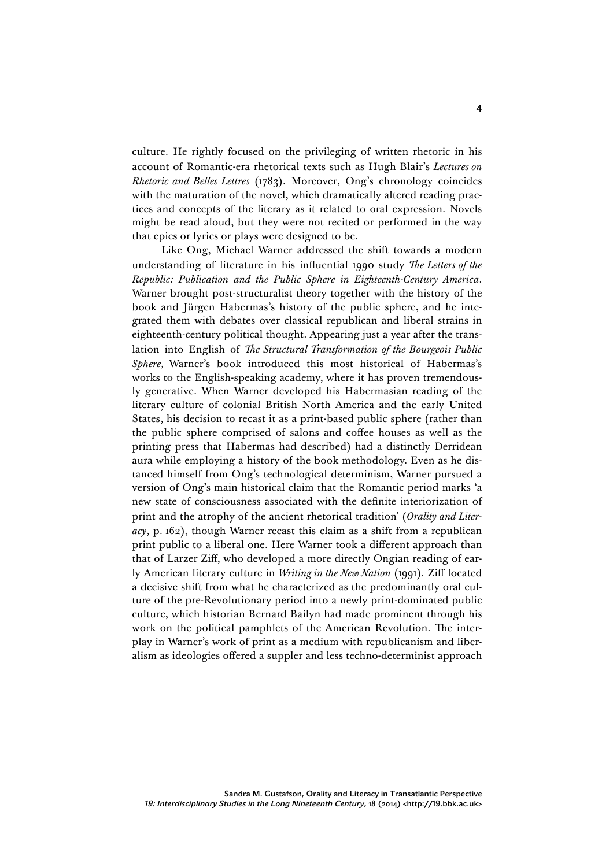culture. He rightly focused on the privileging of written rhetoric in his account of Romantic-era rhetorical texts such as Hugh Blair's *Lectures on Rhetoric and Belles Lettres* (1783). Moreover, Ong's chronology coincides with the maturation of the novel, which dramatically altered reading practices and concepts of the literary as it related to oral expression. Novels might be read aloud, but they were not recited or performed in the way that epics or lyrics or plays were designed to be.

Like Ong, Michael Warner addressed the shift towards a modern understanding of literature in his influential 1990 study *The Letters of the Republic: Publication and the Public Sphere in Eighteenth-Century America*. Warner brought post-structuralist theory together with the history of the book and Jürgen Habermas's history of the public sphere, and he integrated them with debates over classical republican and liberal strains in eighteenth-century political thought. Appearing just a year after the translation into English of *The Structural Transformation of the Bourgeois Public Sphere,* Warner's book introduced this most historical of Habermas's works to the English-speaking academy, where it has proven tremendously generative. When Warner developed his Habermasian reading of the literary culture of colonial British North America and the early United States, his decision to recast it as a print-based public sphere (rather than the public sphere comprised of salons and coffee houses as well as the printing press that Habermas had described) had a distinctly Derridean aura while employing a history of the book methodology. Even as he distanced himself from Ong's technological determinism, Warner pursued a version of Ong's main historical claim that the Romantic period marks 'a new state of consciousness associated with the definite interiorization of print and the atrophy of the ancient rhetorical tradition' (*Orality and Literacy*, p. 162), though Warner recast this claim as a shift from a republican print public to a liberal one. Here Warner took a different approach than that of Larzer Ziff, who developed a more directly Ongian reading of early American literary culture in *Writing in the New Nation* (1991). Ziff located a decisive shift from what he characterized as the predominantly oral culture of the pre-Revolutionary period into a newly print-dominated public culture, which historian Bernard Bailyn had made prominent through his work on the political pamphlets of the American Revolution. The interplay in Warner's work of print as a medium with republicanism and liberalism as ideologies offered a suppler and less techno-determinist approach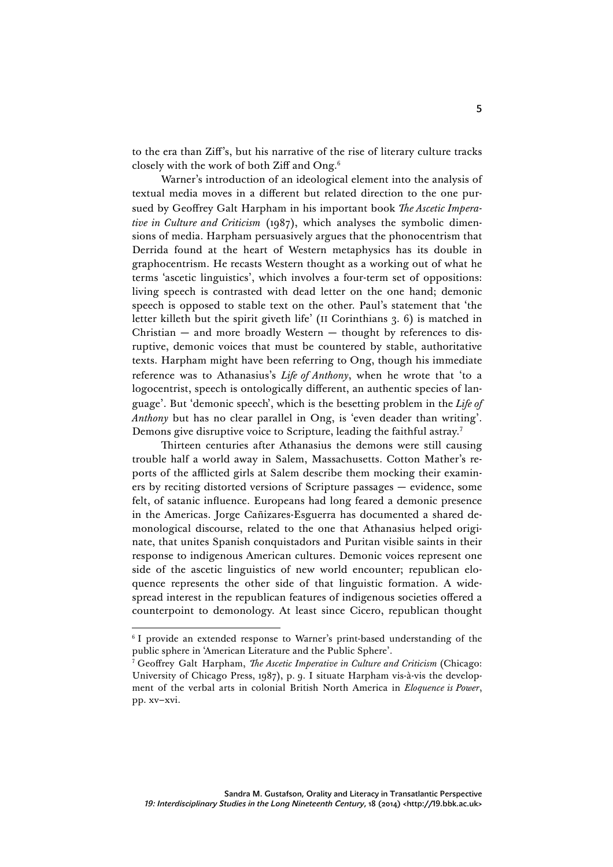to the era than Ziff's, but his narrative of the rise of literary culture tracks closely with the work of both Ziff and Ong.6

Warner's introduction of an ideological element into the analysis of textual media moves in a different but related direction to the one pursued by Geoffrey Galt Harpham in his important book *The Ascetic Imperative in Culture and Criticism* (1987), which analyses the symbolic dimensions of media. Harpham persuasively argues that the phonocentrism that Derrida found at the heart of Western metaphysics has its double in graphocentrism. He recasts Western thought as a working out of what he terms 'ascetic linguistics', which involves a four-term set of oppositions: living speech is contrasted with dead letter on the one hand; demonic speech is opposed to stable text on the other. Paul's statement that 'the letter killeth but the spirit giveth life' (II Corinthians 3. 6) is matched in Christian  $-$  and more broadly Western  $-$  thought by references to disruptive, demonic voices that must be countered by stable, authoritative texts. Harpham might have been referring to Ong, though his immediate reference was to Athanasius's *Life of Anthony*, when he wrote that 'to a logocentrist, speech is ontologically different, an authentic species of language'. But 'demonic speech', which is the besetting problem in the *Life of Anthony* but has no clear parallel in Ong, is 'even deader than writing'. Demons give disruptive voice to Scripture, leading the faithful astray.<sup>7</sup>

Thirteen centuries after Athanasius the demons were still causing trouble half a world away in Salem, Massachusetts. Cotton Mather's reports of the afflicted girls at Salem describe them mocking their examiners by reciting distorted versions of Scripture passages — evidence, some felt, of satanic influence. Europeans had long feared a demonic presence in the Americas. Jorge Cañizares-Esguerra has documented a shared demonological discourse, related to the one that Athanasius helped originate, that unites Spanish conquistadors and Puritan visible saints in their response to indigenous American cultures. Demonic voices represent one side of the ascetic linguistics of new world encounter; republican eloquence represents the other side of that linguistic formation. A widespread interest in the republican features of indigenous societies offered a counterpoint to demonology. At least since Cicero, republican thought

<sup>&</sup>lt;sup>6</sup> I provide an extended response to Warner's print-based understanding of the public sphere in 'American Literature and the Public Sphere'.

<sup>7</sup> Geoffrey Galt Harpham, *The Ascetic Imperative in Culture and Criticism* (Chicago: University of Chicago Press, 1987), p. 9. I situate Harpham vis-à-vis the development of the verbal arts in colonial British North America in *Eloquence is Power*, pp. xv–xvi.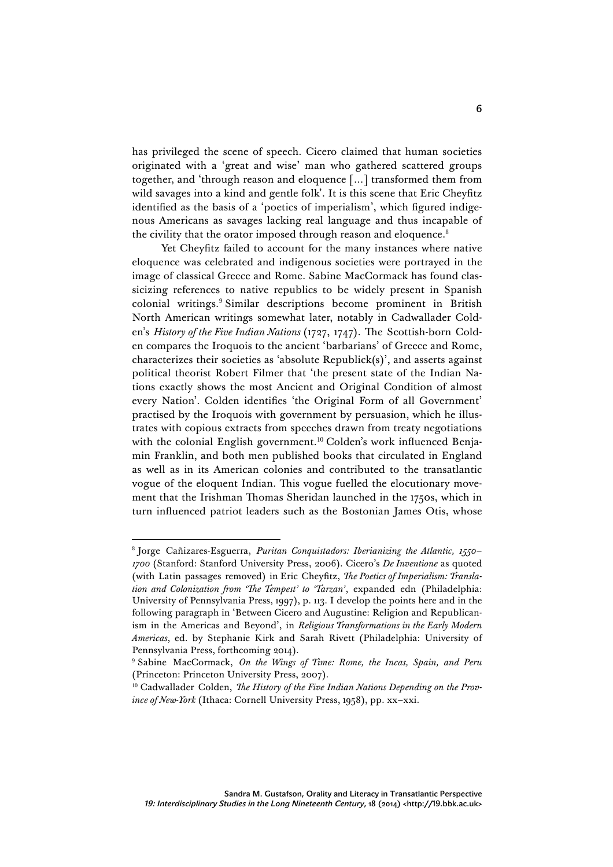has privileged the scene of speech. Cicero claimed that human societies originated with a 'great and wise' man who gathered scattered groups together, and 'through reason and eloquence […] transformed them from wild savages into a kind and gentle folk'. It is this scene that Eric Cheyfitz identified as the basis of a 'poetics of imperialism', which figured indigenous Americans as savages lacking real language and thus incapable of the civility that the orator imposed through reason and eloquence.<sup>8</sup>

Yet Cheyfitz failed to account for the many instances where native eloquence was celebrated and indigenous societies were portrayed in the image of classical Greece and Rome. Sabine MacCormack has found classicizing references to native republics to be widely present in Spanish colonial writings.9 Similar descriptions become prominent in British North American writings somewhat later, notably in Cadwallader Colden's *History of the Five Indian Nations* (1727, 1747). The Scottish-born Colden compares the Iroquois to the ancient 'barbarians' of Greece and Rome, characterizes their societies as 'absolute Republick(s)', and asserts against political theorist Robert Filmer that 'the present state of the Indian Nations exactly shows the most Ancient and Original Condition of almost every Nation'. Colden identifies 'the Original Form of all Government' practised by the Iroquois with government by persuasion, which he illustrates with copious extracts from speeches drawn from treaty negotiations with the colonial English government.<sup>10</sup> Colden's work influenced Benjamin Franklin, and both men published books that circulated in England as well as in its American colonies and contributed to the transatlantic vogue of the eloquent Indian. This vogue fuelled the elocutionary movement that the Irishman Thomas Sheridan launched in the 1750s, which in turn influenced patriot leaders such as the Bostonian James Otis, whose

 <sup>8</sup> Jorge Cañizares-Esguerra, *Puritan Conquistadors: Iberianizing the Atlantic, 1550– 1700* (Stanford: Stanford University Press, 2006). Cicero's *De Inventione* as quoted (with Latin passages removed) in Eric Cheyfitz, *The Poetics of Imperialism: Translation and Colonization from 'The Tempest' to 'Tarzan'*, expanded edn (Philadelphia: University of Pennsylvania Press, 1997), p. 113. I develop the points here and in the following paragraph in 'Between Cicero and Augustine: Religion and Republicanism in the Americas and Beyond', in *Religious Transformations in the Early Modern Americas*, ed. by Stephanie Kirk and Sarah Rivett (Philadelphia: University of Pennsylvania Press, forthcoming 2014).

<sup>9</sup> Sabine MacCormack, *On the Wings of Time: Rome, the Incas, Spain, and Peru* (Princeton: Princeton University Press, 2007).

<sup>&</sup>lt;sup>10</sup> Cadwallader Colden, *The History of the Five Indian Nations Depending on the Province of New-York* (Ithaca: Cornell University Press, 1958), pp. xx–xxi.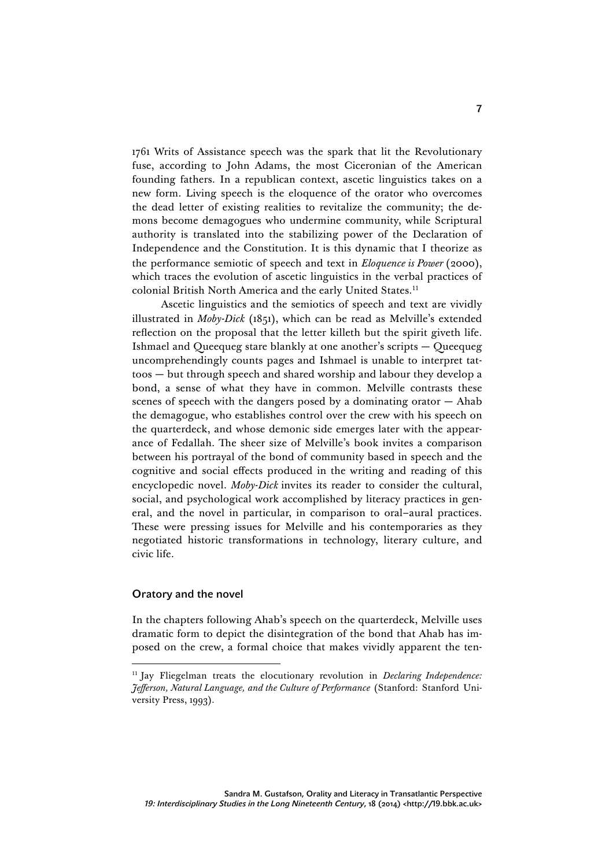1761 Writs of Assistance speech was the spark that lit the Revolutionary fuse, according to John Adams, the most Ciceronian of the American founding fathers. In a republican context, ascetic linguistics takes on a new form. Living speech is the eloquence of the orator who overcomes the dead letter of existing realities to revitalize the community; the demons become demagogues who undermine community, while Scriptural authority is translated into the stabilizing power of the Declaration of Independence and the Constitution. It is this dynamic that I theorize as the performance semiotic of speech and text in *Eloquence is Power* (2000), which traces the evolution of ascetic linguistics in the verbal practices of colonial British North America and the early United States.<sup>11</sup>

Ascetic linguistics and the semiotics of speech and text are vividly illustrated in *Moby-Dick* (1851), which can be read as Melville's extended reflection on the proposal that the letter killeth but the spirit giveth life. Ishmael and Queequeg stare blankly at one another's scripts — Queequeg uncomprehendingly counts pages and Ishmael is unable to interpret tattoos — but through speech and shared worship and labour they develop a bond, a sense of what they have in common. Melville contrasts these scenes of speech with the dangers posed by a dominating orator  $-$  Ahab the demagogue, who establishes control over the crew with his speech on the quarterdeck, and whose demonic side emerges later with the appearance of Fedallah. The sheer size of Melville's book invites a comparison between his portrayal of the bond of community based in speech and the cognitive and social effects produced in the writing and reading of this encyclopedic novel. *Moby-Dick* invites its reader to consider the cultural, social, and psychological work accomplished by literacy practices in general, and the novel in particular, in comparison to oral–aural practices. These were pressing issues for Melville and his contemporaries as they negotiated historic transformations in technology, literary culture, and civic life.

## Oratory and the novel

In the chapters following Ahab's speech on the quarterdeck, Melville uses dramatic form to depict the disintegration of the bond that Ahab has imposed on the crew, a formal choice that makes vividly apparent the ten-

 <sup>11</sup> Jay Fliegelman treats the elocutionary revolution in *Declaring Independence: Jefferson, Natural Language, and the Culture of Performance* (Stanford: Stanford University Press, 1993).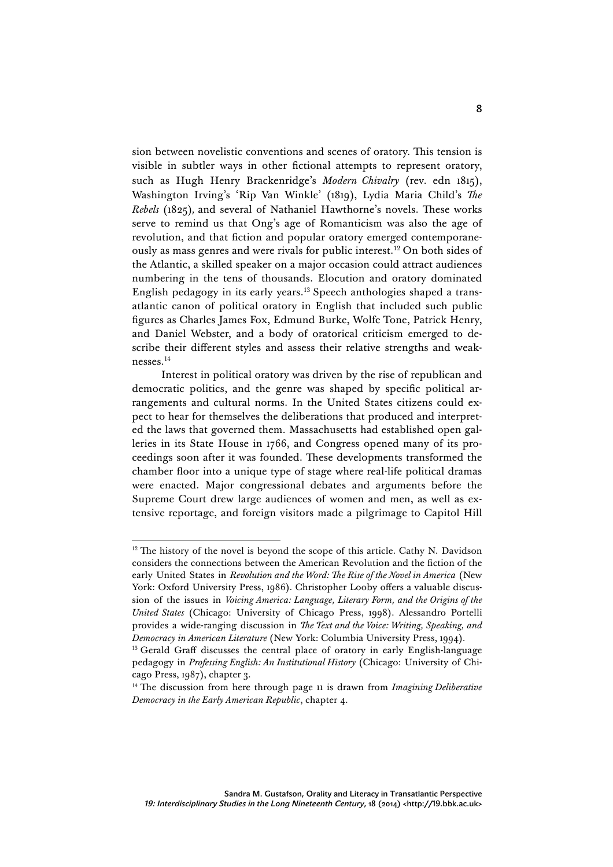sion between novelistic conventions and scenes of oratory. This tension is visible in subtler ways in other fictional attempts to represent oratory, such as Hugh Henry Brackenridge's *Modern Chivalry* (rev. edn 1815), Washington Irving's 'Rip Van Winkle' (1819), Lydia Maria Child's *The Rebels* (1825)*,* and several of Nathaniel Hawthorne's novels. These works serve to remind us that Ong's age of Romanticism was also the age of revolution, and that fiction and popular oratory emerged contemporaneously as mass genres and were rivals for public interest.12 On both sides of the Atlantic, a skilled speaker on a major occasion could attract audiences numbering in the tens of thousands. Elocution and oratory dominated English pedagogy in its early years.13 Speech anthologies shaped a transatlantic canon of political oratory in English that included such public figures as Charles James Fox, Edmund Burke, Wolfe Tone, Patrick Henry, and Daniel Webster, and a body of oratorical criticism emerged to describe their different styles and assess their relative strengths and weaknesses.14

Interest in political oratory was driven by the rise of republican and democratic politics, and the genre was shaped by specific political arrangements and cultural norms. In the United States citizens could expect to hear for themselves the deliberations that produced and interpreted the laws that governed them. Massachusetts had established open galleries in its State House in 1766, and Congress opened many of its proceedings soon after it was founded. These developments transformed the chamber floor into a unique type of stage where real-life political dramas were enacted. Major congressional debates and arguments before the Supreme Court drew large audiences of women and men, as well as extensive reportage, and foreign visitors made a pilgrimage to Capitol Hill

 $12$ <sup>12</sup> The history of the novel is beyond the scope of this article. Cathy N. Davidson considers the connections between the American Revolution and the fiction of the early United States in *Revolution and the Word: The Rise of the Novel in America* (New York: Oxford University Press, 1986). Christopher Looby offers a valuable discussion of the issues in *Voicing America: Language, Literary Form, and the Origins of the United States* (Chicago: University of Chicago Press, 1998). Alessandro Portelli provides a wide-ranging discussion in *The Text and the Voice: Writing, Speaking, and Democracy in American Literature* (New York: Columbia University Press, 1994).

<sup>&</sup>lt;sup>13</sup> Gerald Graff discusses the central place of oratory in early English-language pedagogy in *Professing English: An Institutional History* (Chicago: University of Chicago Press, 1987), chapter 3.

<sup>14</sup> The discussion from here through page 11 is drawn from *Imagining Deliberative Democracy in the Early American Republic*, chapter 4.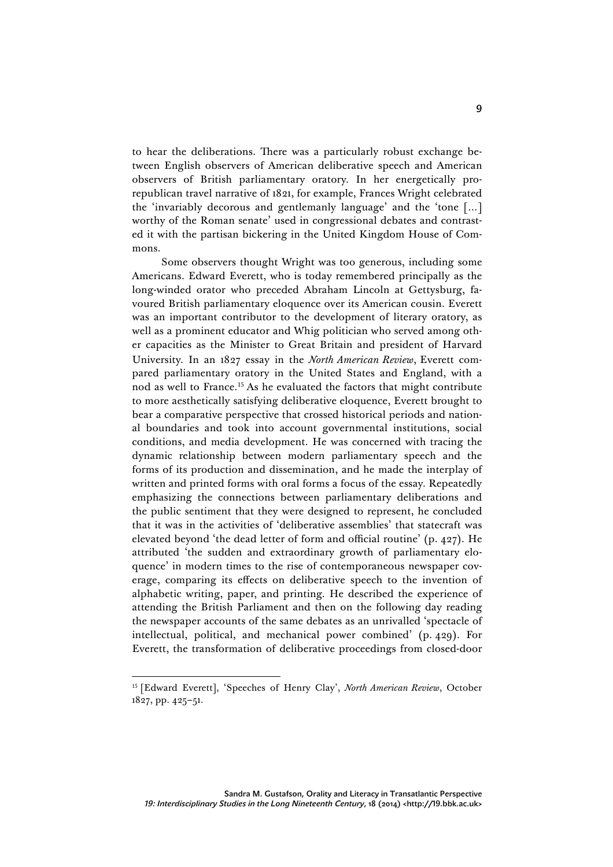to hear the deliberations. There was a particularly robust exchange between English observers of American deliberative speech and American observers of British parliamentary oratory. In her energetically prorepublican travel narrative of 1821, for example, Frances Wright celebrated the 'invariably decorous and gentlemanly language' and the 'tone […] worthy of the Roman senate' used in congressional debates and contrasted it with the partisan bickering in the United Kingdom House of Commons.

Some observers thought Wright was too generous, including some Americans. Edward Everett, who is today remembered principally as the long-winded orator who preceded Abraham Lincoln at Gettysburg, favoured British parliamentary eloquence over its American cousin. Everett was an important contributor to the development of literary oratory, as well as a prominent educator and Whig politician who served among other capacities as the Minister to Great Britain and president of Harvard University. In an 1827 essay in the *North American Review*, Everett compared parliamentary oratory in the United States and England, with a nod as well to France.15 As he evaluated the factors that might contribute to more aesthetically satisfying deliberative eloquence, Everett brought to bear a comparative perspective that crossed historical periods and national boundaries and took into account governmental institutions, social conditions, and media development. He was concerned with tracing the dynamic relationship between modern parliamentary speech and the forms of its production and dissemination, and he made the interplay of written and printed forms with oral forms a focus of the essay. Repeatedly emphasizing the connections between parliamentary deliberations and the public sentiment that they were designed to represent, he concluded that it was in the activities of 'deliberative assemblies' that statecraft was elevated beyond 'the dead letter of form and official routine' (p. 427). He attributed 'the sudden and extraordinary growth of parliamentary eloquence' in modern times to the rise of contemporaneous newspaper coverage, comparing its effects on deliberative speech to the invention of alphabetic writing, paper, and printing. He described the experience of attending the British Parliament and then on the following day reading the newspaper accounts of the same debates as an unrivalled 'spectacle of intellectual, political, and mechanical power combined' (p. 429). For Everett, the transformation of deliberative proceedings from closed-door

 <sup>15</sup> [Edward Everett], 'Speeches of Henry Clay', *North American Review*, October 1827, pp. 425–51.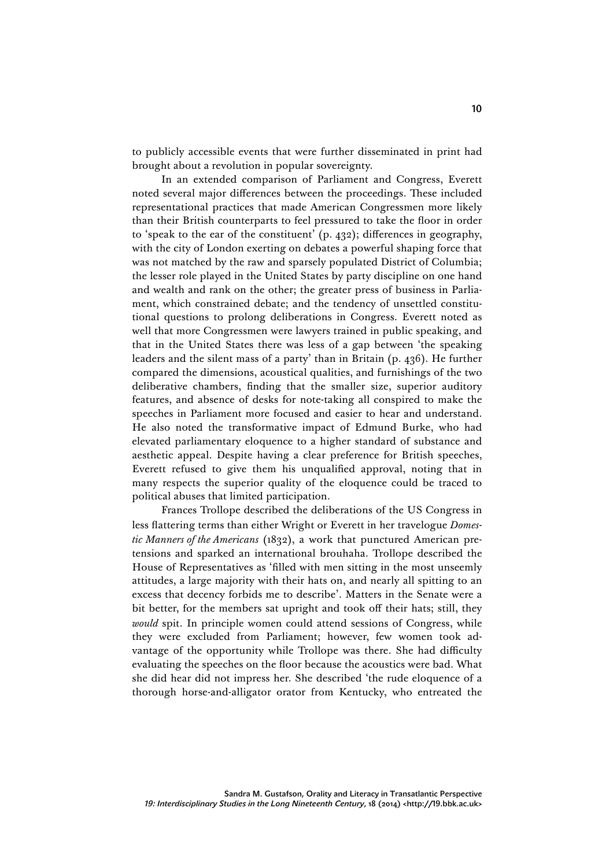to publicly accessible events that were further disseminated in print had brought about a revolution in popular sovereignty.

In an extended comparison of Parliament and Congress, Everett noted several major differences between the proceedings. These included representational practices that made American Congressmen more likely than their British counterparts to feel pressured to take the floor in order to 'speak to the ear of the constituent' (p. 432); differences in geography, with the city of London exerting on debates a powerful shaping force that was not matched by the raw and sparsely populated District of Columbia; the lesser role played in the United States by party discipline on one hand and wealth and rank on the other; the greater press of business in Parliament, which constrained debate; and the tendency of unsettled constitutional questions to prolong deliberations in Congress. Everett noted as well that more Congressmen were lawyers trained in public speaking, and that in the United States there was less of a gap between 'the speaking leaders and the silent mass of a party' than in Britain (p. 436). He further compared the dimensions, acoustical qualities, and furnishings of the two deliberative chambers, finding that the smaller size, superior auditory features, and absence of desks for note-taking all conspired to make the speeches in Parliament more focused and easier to hear and understand. He also noted the transformative impact of Edmund Burke, who had elevated parliamentary eloquence to a higher standard of substance and aesthetic appeal. Despite having a clear preference for British speeches, Everett refused to give them his unqualified approval, noting that in many respects the superior quality of the eloquence could be traced to political abuses that limited participation.

Frances Trollope described the deliberations of the US Congress in less flattering terms than either Wright or Everett in her travelogue *Domestic Manners of the Americans* (1832), a work that punctured American pretensions and sparked an international brouhaha. Trollope described the House of Representatives as 'filled with men sitting in the most unseemly attitudes, a large majority with their hats on, and nearly all spitting to an excess that decency forbids me to describe'. Matters in the Senate were a bit better, for the members sat upright and took off their hats; still, they *would* spit. In principle women could attend sessions of Congress, while they were excluded from Parliament; however, few women took advantage of the opportunity while Trollope was there. She had difficulty evaluating the speeches on the floor because the acoustics were bad. What she did hear did not impress her. She described 'the rude eloquence of a thorough horse-and-alligator orator from Kentucky, who entreated the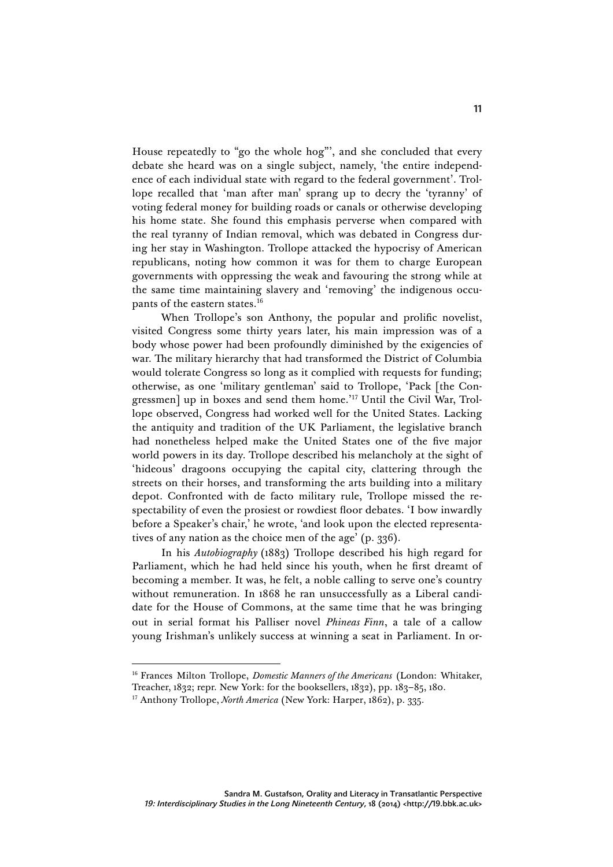House repeatedly to "go the whole hog"', and she concluded that every debate she heard was on a single subject, namely, 'the entire independence of each individual state with regard to the federal government'. Trollope recalled that 'man after man' sprang up to decry the 'tyranny' of voting federal money for building roads or canals or otherwise developing his home state. She found this emphasis perverse when compared with the real tyranny of Indian removal, which was debated in Congress during her stay in Washington. Trollope attacked the hypocrisy of American republicans, noting how common it was for them to charge European governments with oppressing the weak and favouring the strong while at the same time maintaining slavery and 'removing' the indigenous occupants of the eastern states.16

When Trollope's son Anthony, the popular and prolific novelist, visited Congress some thirty years later, his main impression was of a body whose power had been profoundly diminished by the exigencies of war. The military hierarchy that had transformed the District of Columbia would tolerate Congress so long as it complied with requests for funding; otherwise, as one 'military gentleman' said to Trollope, 'Pack [the Congressmen] up in boxes and send them home.' <sup>17</sup> Until the Civil War, Trollope observed, Congress had worked well for the United States. Lacking the antiquity and tradition of the UK Parliament, the legislative branch had nonetheless helped make the United States one of the five major world powers in its day. Trollope described his melancholy at the sight of 'hideous' dragoons occupying the capital city, clattering through the streets on their horses, and transforming the arts building into a military depot. Confronted with de facto military rule, Trollope missed the respectability of even the prosiest or rowdiest floor debates. 'I bow inwardly before a Speaker's chair,' he wrote, 'and look upon the elected representatives of any nation as the choice men of the age' (p. 336).

In his *Autobiography* (1883) Trollope described his high regard for Parliament, which he had held since his youth, when he first dreamt of becoming a member. It was, he felt, a noble calling to serve one's country without remuneration. In 1868 he ran unsuccessfully as a Liberal candidate for the House of Commons, at the same time that he was bringing out in serial format his Palliser novel *Phineas Finn*, a tale of a callow young Irishman's unlikely success at winning a seat in Parliament. In or-

<sup>16</sup> Frances Milton Trollope, *Domestic Manners of the Americans* (London: Whitaker,

Treacher, 1832; repr. New York: for the booksellers, 1832), pp. 183–85, 180.

<sup>&</sup>lt;sup>17</sup> Anthony Trollope, *North America* (New York: Harper, 1862), p. 335.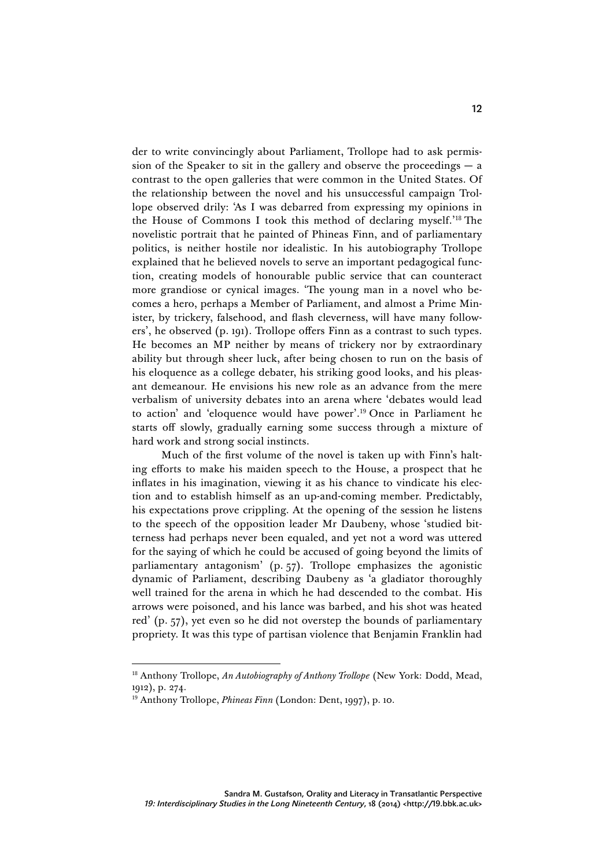der to write convincingly about Parliament, Trollope had to ask permission of the Speaker to sit in the gallery and observe the proceedings  $- a$ contrast to the open galleries that were common in the United States. Of the relationship between the novel and his unsuccessful campaign Trollope observed drily: 'As I was debarred from expressing my opinions in the House of Commons I took this method of declaring myself.' <sup>18</sup> The novelistic portrait that he painted of Phineas Finn, and of parliamentary politics, is neither hostile nor idealistic. In his autobiography Trollope explained that he believed novels to serve an important pedagogical function, creating models of honourable public service that can counteract more grandiose or cynical images. 'The young man in a novel who becomes a hero, perhaps a Member of Parliament, and almost a Prime Minister, by trickery, falsehood, and flash cleverness, will have many followers', he observed (p. 191). Trollope offers Finn as a contrast to such types. He becomes an MP neither by means of trickery nor by extraordinary ability but through sheer luck, after being chosen to run on the basis of his eloquence as a college debater, his striking good looks, and his pleasant demeanour. He envisions his new role as an advance from the mere verbalism of university debates into an arena where 'debates would lead to action' and 'eloquence would have power'. <sup>19</sup> Once in Parliament he starts off slowly, gradually earning some success through a mixture of hard work and strong social instincts.

Much of the first volume of the novel is taken up with Finn's halting efforts to make his maiden speech to the House, a prospect that he inflates in his imagination, viewing it as his chance to vindicate his election and to establish himself as an up-and-coming member. Predictably, his expectations prove crippling. At the opening of the session he listens to the speech of the opposition leader Mr Daubeny, whose 'studied bitterness had perhaps never been equaled, and yet not a word was uttered for the saying of which he could be accused of going beyond the limits of parliamentary antagonism' (p. 57). Trollope emphasizes the agonistic dynamic of Parliament, describing Daubeny as 'a gladiator thoroughly well trained for the arena in which he had descended to the combat. His arrows were poisoned, and his lance was barbed, and his shot was heated red' (p. 57), yet even so he did not overstep the bounds of parliamentary propriety. It was this type of partisan violence that Benjamin Franklin had

 <sup>18</sup> Anthony Trollope, *An Autobiography of Anthony Trollope* (New York: Dodd, Mead, 1912), p. 274.

<sup>&</sup>lt;sup>19</sup> Anthony Trollope, *Phineas Finn* (London: Dent, 1997), p. 10.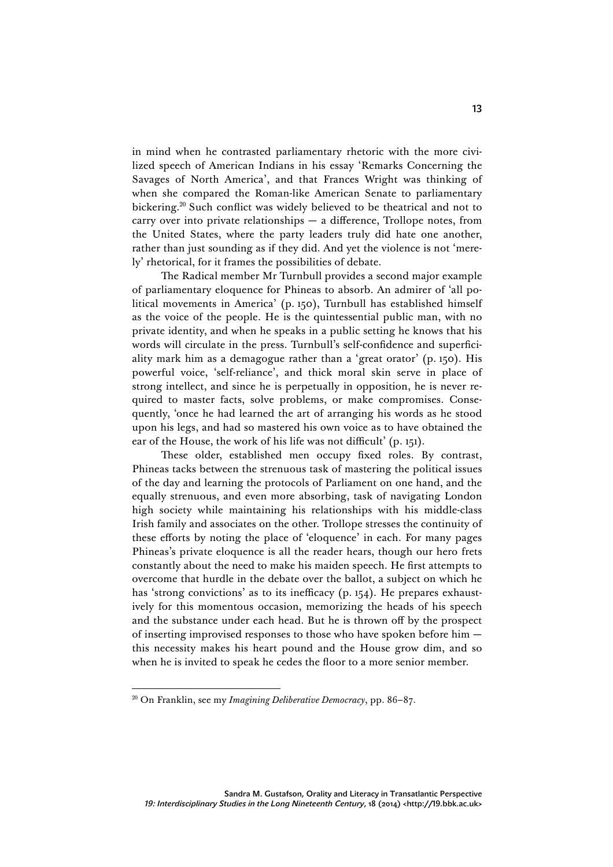in mind when he contrasted parliamentary rhetoric with the more civilized speech of American Indians in his essay 'Remarks Concerning the Savages of North America', and that Frances Wright was thinking of when she compared the Roman-like American Senate to parliamentary bickering.20 Such conflict was widely believed to be theatrical and not to carry over into private relationships — a difference, Trollope notes, from the United States, where the party leaders truly did hate one another, rather than just sounding as if they did. And yet the violence is not 'merely' rhetorical, for it frames the possibilities of debate.

The Radical member Mr Turnbull provides a second major example of parliamentary eloquence for Phineas to absorb. An admirer of 'all political movements in America' (p. 150), Turnbull has established himself as the voice of the people. He is the quintessential public man, with no private identity, and when he speaks in a public setting he knows that his words will circulate in the press. Turnbull's self-confidence and superficiality mark him as a demagogue rather than a 'great orator' (p. 150). His powerful voice, 'self-reliance', and thick moral skin serve in place of strong intellect, and since he is perpetually in opposition, he is never required to master facts, solve problems, or make compromises. Consequently, 'once he had learned the art of arranging his words as he stood upon his legs, and had so mastered his own voice as to have obtained the ear of the House, the work of his life was not difficult' (p. 151).

These older, established men occupy fixed roles. By contrast, Phineas tacks between the strenuous task of mastering the political issues of the day and learning the protocols of Parliament on one hand, and the equally strenuous, and even more absorbing, task of navigating London high society while maintaining his relationships with his middle-class Irish family and associates on the other. Trollope stresses the continuity of these efforts by noting the place of 'eloquence' in each. For many pages Phineas's private eloquence is all the reader hears, though our hero frets constantly about the need to make his maiden speech. He first attempts to overcome that hurdle in the debate over the ballot, a subject on which he has 'strong convictions' as to its inefficacy (p. 154). He prepares exhaustively for this momentous occasion, memorizing the heads of his speech and the substance under each head. But he is thrown off by the prospect of inserting improvised responses to those who have spoken before him this necessity makes his heart pound and the House grow dim, and so when he is invited to speak he cedes the floor to a more senior member.

 <sup>20</sup> On Franklin, see my *Imagining Deliberative Democracy*, pp. 86–87.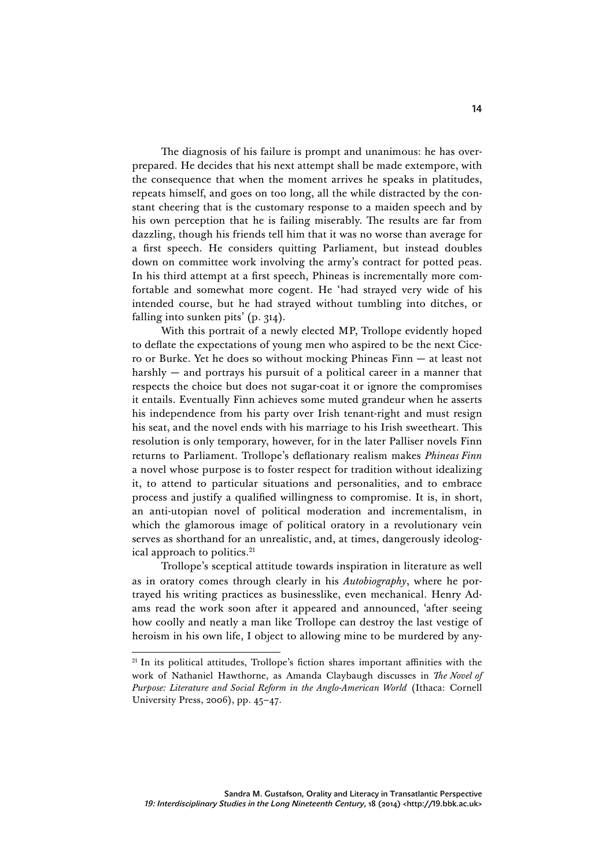The diagnosis of his failure is prompt and unanimous: he has overprepared. He decides that his next attempt shall be made extempore, with the consequence that when the moment arrives he speaks in platitudes, repeats himself, and goes on too long, all the while distracted by the constant cheering that is the customary response to a maiden speech and by his own perception that he is failing miserably. The results are far from dazzling, though his friends tell him that it was no worse than average for a first speech. He considers quitting Parliament, but instead doubles down on committee work involving the army's contract for potted peas. In his third attempt at a first speech, Phineas is incrementally more comfortable and somewhat more cogent. He 'had strayed very wide of his intended course, but he had strayed without tumbling into ditches, or falling into sunken pits' (p. 314).

With this portrait of a newly elected MP, Trollope evidently hoped to deflate the expectations of young men who aspired to be the next Cicero or Burke. Yet he does so without mocking Phineas Finn — at least not harshly — and portrays his pursuit of a political career in a manner that respects the choice but does not sugar-coat it or ignore the compromises it entails. Eventually Finn achieves some muted grandeur when he asserts his independence from his party over Irish tenant-right and must resign his seat, and the novel ends with his marriage to his Irish sweetheart. This resolution is only temporary, however, for in the later Palliser novels Finn returns to Parliament. Trollope's deflationary realism makes *Phineas Finn*  a novel whose purpose is to foster respect for tradition without idealizing it, to attend to particular situations and personalities, and to embrace process and justify a qualified willingness to compromise. It is, in short, an anti-utopian novel of political moderation and incrementalism, in which the glamorous image of political oratory in a revolutionary vein serves as shorthand for an unrealistic, and, at times, dangerously ideological approach to politics.<sup>21</sup>

Trollope's sceptical attitude towards inspiration in literature as well as in oratory comes through clearly in his *Autobiography*, where he portrayed his writing practices as businesslike, even mechanical. Henry Adams read the work soon after it appeared and announced, 'after seeing how coolly and neatly a man like Trollope can destroy the last vestige of heroism in his own life, I object to allowing mine to be murdered by any-

 $21$  In its political attitudes, Trollope's fiction shares important affinities with the work of Nathaniel Hawthorne, as Amanda Claybaugh discusses in *The Novel of Purpose: Literature and Social Reform in the Anglo-American World* (Ithaca: Cornell University Press, 2006), pp. 45–47.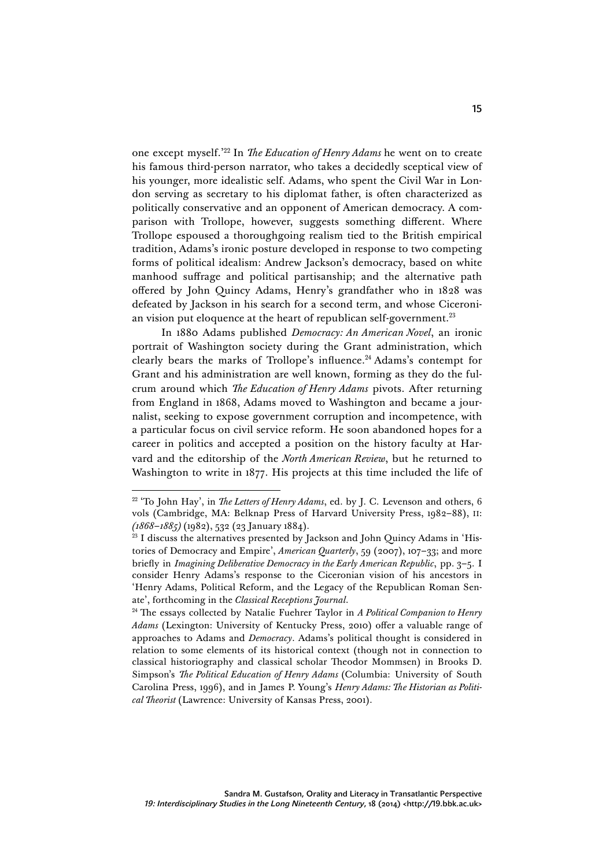one except myself.' <sup>22</sup> In *The Education of Henry Adams* he went on to create his famous third-person narrator, who takes a decidedly sceptical view of his younger, more idealistic self. Adams, who spent the Civil War in London serving as secretary to his diplomat father, is often characterized as politically conservative and an opponent of American democracy. A comparison with Trollope, however, suggests something different. Where Trollope espoused a thoroughgoing realism tied to the British empirical tradition, Adams's ironic posture developed in response to two competing forms of political idealism: Andrew Jackson's democracy, based on white manhood suffrage and political partisanship; and the alternative path offered by John Quincy Adams, Henry's grandfather who in 1828 was defeated by Jackson in his search for a second term, and whose Ciceronian vision put eloquence at the heart of republican self-government. $^{23}$ 

In 1880 Adams published *Democracy: An American Novel*, an ironic portrait of Washington society during the Grant administration, which clearly bears the marks of Trollope's influence.<sup>24</sup> Adams's contempt for Grant and his administration are well known, forming as they do the fulcrum around which *The Education of Henry Adams* pivots. After returning from England in 1868, Adams moved to Washington and became a journalist, seeking to expose government corruption and incompetence, with a particular focus on civil service reform. He soon abandoned hopes for a career in politics and accepted a position on the history faculty at Harvard and the editorship of the *North American Review*, but he returned to Washington to write in 1877. His projects at this time included the life of

<sup>&</sup>lt;sup>22</sup> 'To John Hay', in *The Letters of Henry Adams*, ed. by J. C. Levenson and others, 6 vols (Cambridge, MA: Belknap Press of Harvard University Press, 1982–88), II: *(1868–1885)* (1982), 532 (23 January 1884).

<sup>&</sup>lt;sup>23</sup> I discuss the alternatives presented by Jackson and John Quincy Adams in 'Histories of Democracy and Empire', *American Quarterly*, 59 (2007), 107–33; and more briefly in *Imagining Deliberative Democracy in the Early American Republic*, pp. 3–5. I consider Henry Adams's response to the Ciceronian vision of his ancestors in 'Henry Adams, Political Reform, and the Legacy of the Republican Roman Senate', forthcoming in the *Classical Receptions Journal*.

<sup>24</sup> The essays collected by Natalie Fuehrer Taylor in *A Political Companion to Henry Adams* (Lexington: University of Kentucky Press, 2010) offer a valuable range of approaches to Adams and *Democracy*. Adams's political thought is considered in relation to some elements of its historical context (though not in connection to classical historiography and classical scholar Theodor Mommsen) in Brooks D. Simpson's *The Political Education of Henry Adams* (Columbia: University of South Carolina Press, 1996), and in James P. Young's *Henry Adams: The Historian as Political Theorist* (Lawrence: University of Kansas Press, 2001).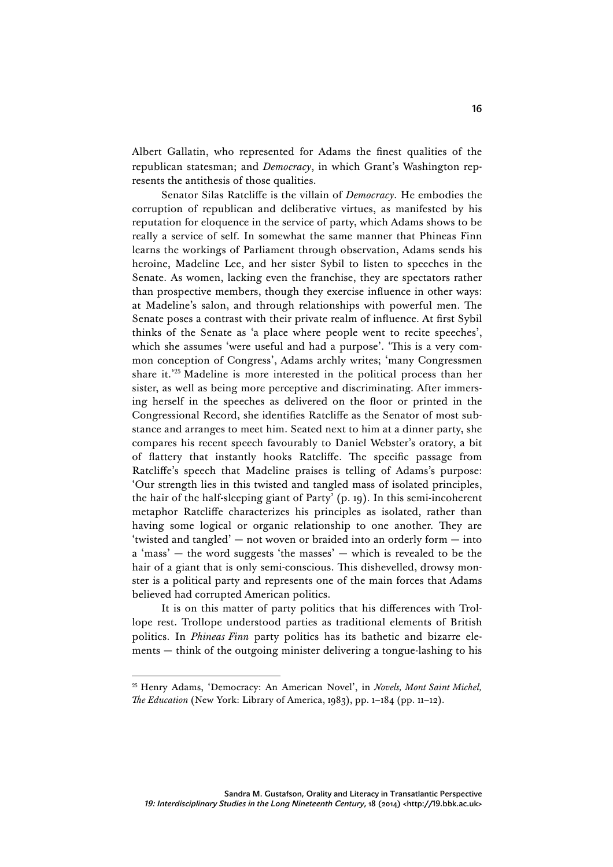Albert Gallatin, who represented for Adams the finest qualities of the republican statesman; and *Democracy*, in which Grant's Washington represents the antithesis of those qualities.

Senator Silas Ratcliffe is the villain of *Democracy*. He embodies the corruption of republican and deliberative virtues, as manifested by his reputation for eloquence in the service of party, which Adams shows to be really a service of self. In somewhat the same manner that Phineas Finn learns the workings of Parliament through observation, Adams sends his heroine, Madeline Lee, and her sister Sybil to listen to speeches in the Senate. As women, lacking even the franchise, they are spectators rather than prospective members, though they exercise influence in other ways: at Madeline's salon, and through relationships with powerful men. The Senate poses a contrast with their private realm of influence. At first Sybil thinks of the Senate as 'a place where people went to recite speeches', which she assumes 'were useful and had a purpose'. 'This is a very common conception of Congress', Adams archly writes; 'many Congressmen share it.' <sup>25</sup> Madeline is more interested in the political process than her sister, as well as being more perceptive and discriminating. After immersing herself in the speeches as delivered on the floor or printed in the Congressional Record, she identifies Ratcliffe as the Senator of most substance and arranges to meet him. Seated next to him at a dinner party, she compares his recent speech favourably to Daniel Webster's oratory, a bit of flattery that instantly hooks Ratcliffe. The specific passage from Ratcliffe's speech that Madeline praises is telling of Adams's purpose: 'Our strength lies in this twisted and tangled mass of isolated principles, the hair of the half-sleeping giant of Party' (p. 19). In this semi-incoherent metaphor Ratcliffe characterizes his principles as isolated, rather than having some logical or organic relationship to one another. They are 'twisted and tangled' — not woven or braided into an orderly form — into a 'mass' — the word suggests 'the masses' — which is revealed to be the hair of a giant that is only semi-conscious. This dishevelled, drowsy monster is a political party and represents one of the main forces that Adams believed had corrupted American politics.

It is on this matter of party politics that his differences with Trollope rest. Trollope understood parties as traditional elements of British politics. In *Phineas Finn* party politics has its bathetic and bizarre elements — think of the outgoing minister delivering a tongue-lashing to his

 <sup>25</sup> Henry Adams, 'Democracy: An American Novel', in *Novels, Mont Saint Michel, The Education* (New York: Library of America, 1983), pp. 1–184 (pp. 11–12).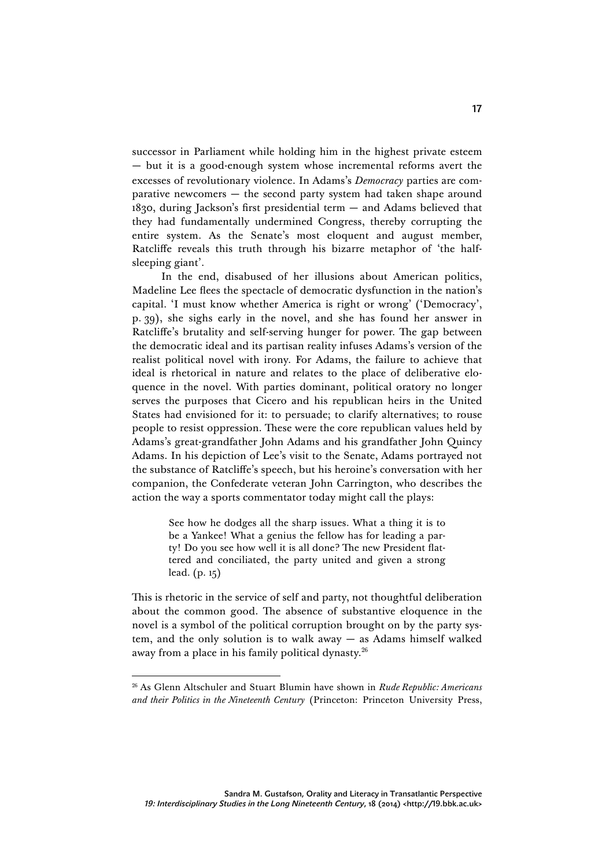successor in Parliament while holding him in the highest private esteem — but it is a good-enough system whose incremental reforms avert the excesses of revolutionary violence. In Adams's *Democracy* parties are comparative newcomers — the second party system had taken shape around 1830, during Jackson's first presidential term — and Adams believed that they had fundamentally undermined Congress, thereby corrupting the entire system. As the Senate's most eloquent and august member, Ratcliffe reveals this truth through his bizarre metaphor of 'the halfsleeping giant'.

In the end, disabused of her illusions about American politics, Madeline Lee flees the spectacle of democratic dysfunction in the nation's capital. 'I must know whether America is right or wrong' ('Democracy', p. 39), she sighs early in the novel, and she has found her answer in Ratcliffe's brutality and self-serving hunger for power. The gap between the democratic ideal and its partisan reality infuses Adams's version of the realist political novel with irony. For Adams, the failure to achieve that ideal is rhetorical in nature and relates to the place of deliberative eloquence in the novel. With parties dominant, political oratory no longer serves the purposes that Cicero and his republican heirs in the United States had envisioned for it: to persuade; to clarify alternatives; to rouse people to resist oppression. These were the core republican values held by Adams's great-grandfather John Adams and his grandfather John Quincy Adams. In his depiction of Lee's visit to the Senate, Adams portrayed not the substance of Ratcliffe's speech, but his heroine's conversation with her companion, the Confederate veteran John Carrington, who describes the action the way a sports commentator today might call the plays:

> See how he dodges all the sharp issues. What a thing it is to be a Yankee! What a genius the fellow has for leading a party! Do you see how well it is all done? The new President flattered and conciliated, the party united and given a strong lead. (p. 15)

This is rhetoric in the service of self and party, not thoughtful deliberation about the common good. The absence of substantive eloquence in the novel is a symbol of the political corruption brought on by the party system, and the only solution is to walk away — as Adams himself walked away from a place in his family political dynasty.<sup>26</sup>

 <sup>26</sup> As Glenn Altschuler and Stuart Blumin have shown in *Rude Republic: Americans and their Politics in the Nineteenth Century* (Princeton: Princeton University Press,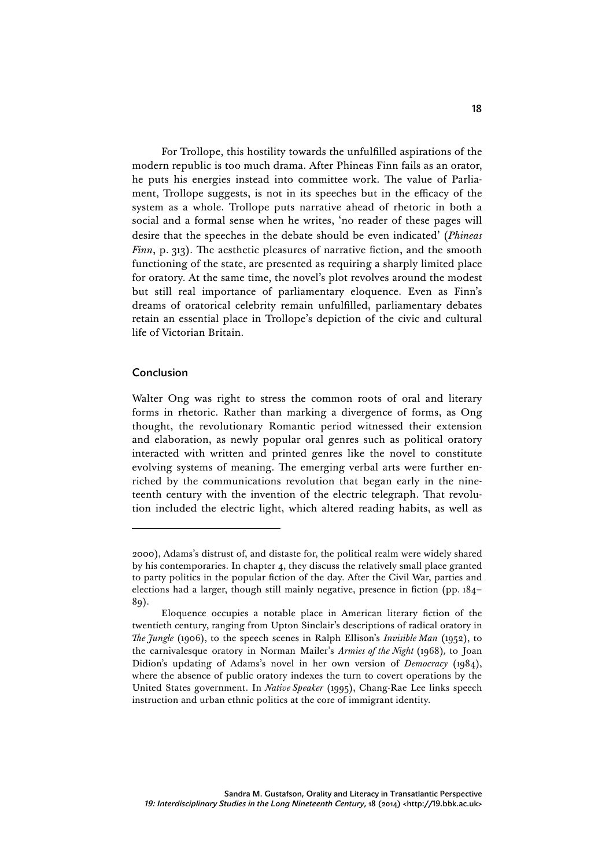For Trollope, this hostility towards the unfulfilled aspirations of the modern republic is too much drama. After Phineas Finn fails as an orator, he puts his energies instead into committee work. The value of Parliament, Trollope suggests, is not in its speeches but in the efficacy of the system as a whole. Trollope puts narrative ahead of rhetoric in both a social and a formal sense when he writes, 'no reader of these pages will desire that the speeches in the debate should be even indicated' (*Phineas Finn*, p. 313). The aesthetic pleasures of narrative fiction, and the smooth functioning of the state, are presented as requiring a sharply limited place for oratory. At the same time, the novel's plot revolves around the modest but still real importance of parliamentary eloquence. Even as Finn's dreams of oratorical celebrity remain unfulfilled, parliamentary debates retain an essential place in Trollope's depiction of the civic and cultural life of Victorian Britain.

## Conclusion

Walter Ong was right to stress the common roots of oral and literary forms in rhetoric. Rather than marking a divergence of forms, as Ong thought, the revolutionary Romantic period witnessed their extension and elaboration, as newly popular oral genres such as political oratory interacted with written and printed genres like the novel to constitute evolving systems of meaning. The emerging verbal arts were further enriched by the communications revolution that began early in the nineteenth century with the invention of the electric telegraph. That revolution included the electric light, which altered reading habits, as well as

<sup>2000),</sup> Adams's distrust of, and distaste for, the political realm were widely shared by his contemporaries. In chapter 4, they discuss the relatively small place granted to party politics in the popular fiction of the day. After the Civil War, parties and elections had a larger, though still mainly negative, presence in fiction (pp. 184– 89).

Eloquence occupies a notable place in American literary fiction of the twentieth century, ranging from Upton Sinclair's descriptions of radical oratory in *The Jungle* (1906), to the speech scenes in Ralph Ellison's *Invisible Man* (1952), to the carnivalesque oratory in Norman Mailer's *Armies of the Night* (1968)*,* to Joan Didion's updating of Adams's novel in her own version of *Democracy* (1984), where the absence of public oratory indexes the turn to covert operations by the United States government. In *Native Speaker* (1995), Chang-Rae Lee links speech instruction and urban ethnic politics at the core of immigrant identity.